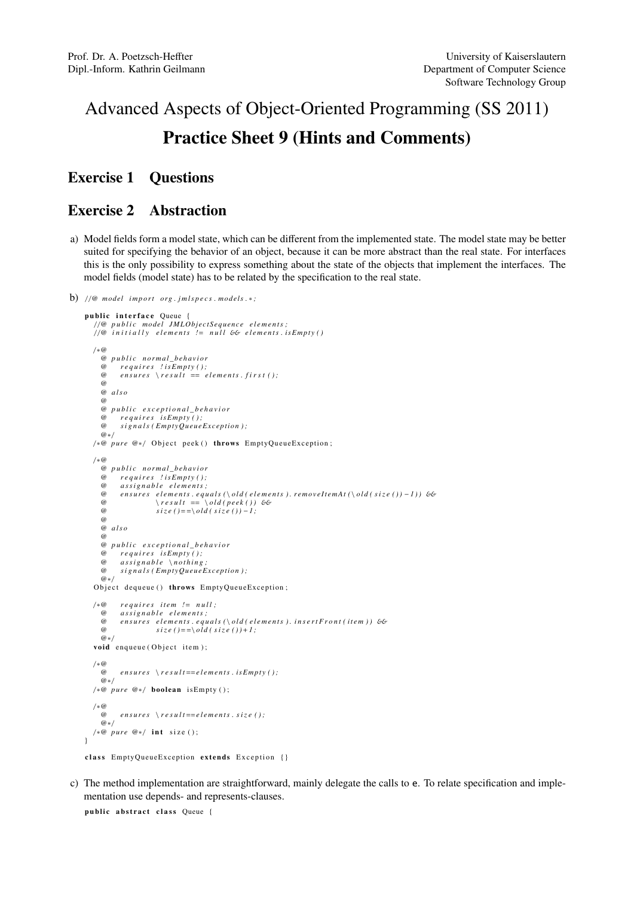# Advanced Aspects of Object-Oriented Programming (SS 2011) Practice Sheet 9 (Hints and Comments)

### Exercise 1 Questions

#### Exercise 2 Abstraction

- a) Model fields form a model state, which can be different from the implemented state. The model state may be better suited for specifying the behavior of an object, because it can be more abstract than the real state. For interfaces this is the only possibility to express something about the state of the objects that implement the interfaces. The model fields (model state) has to be related by the specification to the real state.
- b)  $//@model import org.jmlspecies.modess.*;$

```
public interface Queue
    / /@ p u b l i c model JMLO bject Se q ue nce e l e m e n t s ;
/ /@ i n i t i a l l y e l e m e n t s != n u l l && e l e m e n t s . i sE m pt y ( )
   / ∗@
      @ p u b l i c n o r m al _ b e h a vi o r
             \emph{requires } ! is Empty();
      @ e n s u r e s \ r e s u l t == e l e m e n t s . f i r s t ( ) ;
      @
       @ a l s o
       @
       @ p u b l i c e x c e p t i o n a l _ b e h a v i o r
       @ r e q u i r e s i sE m pt y ( ) ;
             \sigma signals (EmptyQueueException);
      @∗ /
   /*@ pure @*/ Object peek() throws EmptyQueueException;
   / ∗@
      @ p u b l i c n o r m al _ b e h a vi o r
       @ r e q u i r e s ! i sE m pt y ( ) ;
@ a s s i g n a b l e e l e m e n t s ;
       @ ensures elements.equals (\old(elements).removeltemAt(\&old(size()) - 1)) & \result == \old(peek()) & \emoveltemAt(\&old(size()) - 1))\omega size ()==\ old ( size ()) - 1;
       @
      @ a l s o
      @
      @ p u b l i c e x c e p t i o n a l _ b e h a v i o r
       @ requires is Empty();<br>@ assignable \nothing
       @ a s s i g n a b l e \ n o t h i n g ;
             signals (EmptyQueueException);
       @∗ /
   Object dequeue () throws EmptyQueueException;
   / ∗@ r e q u i r e s it e m != n u l l ;
       @ a s s i g n a b l e e l e m e n t s ;
              en sures elements. equals (\nabla \cdot old) elements). insert Front (item)) &
       \emptyset \emptyset \emptyset \emptyset \emptyset \emptyset \emptyset \emptyset \emptyset \emptyset \emptyset \emptyset \emptyset \emptyset \emptyset \emptyset \emptyset \emptyset \emptyset \emptyset \emptyset \emptyset \emptyset \emptyset \emptyset \emptyset \emptyset \emptyset \emptyset \emptyset \emptyset \emptyset \emptyset \emptyset \emptyset \emptyset \emptyset@∗ /
   void enqueue (Object item);
   / ∗@
             ensures \ \ \backslash \ result == elements \ . \ is Empty \ ( );
       @∗ /
   /*@ pure @*/ boolean is Empty ();
   / ∗@
             ensures \ \ \backslash \ res \ t == elements \ . \ size \ ( \ );
       @∗ /
   /*@ pure @*/ int size ();
}
class EmptyQueueException extends Exception {}
```
c) The method implementation are straightforward, mainly delegate the calls to e. To relate specification and implementation use depends- and represents-clauses.

public abstract class Oueue {